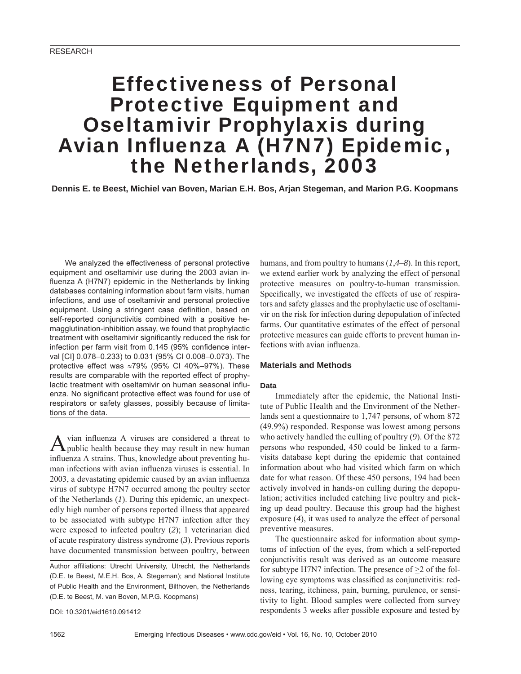# Effectiveness of Personal Protective Equipment and Oseltamivir Prophylaxis during Avian Influenza A (H7N7) Epidemic, the Netherlands, 2003

**Dennis E. te Beest, Michiel van Boven, Marian E.H. Bos, Arjan Stegeman, and Marion P.G. Koopmans**

We analyzed the effectiveness of personal protective equipment and oseltamivir use during the 2003 avian influenza A (H7N7) epidemic in the Netherlands by linking databases containing information about farm visits, human infections, and use of oseltamivir and personal protective equipment. Using a stringent case definition, based on self-reported conjunctivitis combined with a positive hemagglutination-inhibition assay, we found that prophylactic treatment with oseltamivir significantly reduced the risk for infection per farm visit from 0.145 (95% confidence interval [CI] 0.078–0.233) to 0.031 (95% CI 0.008–0.073). The protective effect was  $\approx 79\%$  (95% CI 40%–97%). These results are comparable with the reported effect of prophylactic treatment with oseltamivir on human seasonal influenza. No significant protective effect was found for use of respirators or safety glasses, possibly because of limitations of the data.

A vian influenza A viruses are considered a threat to public health because they may result in new human influenza A strains. Thus, knowledge about preventing human infections with avian influenza viruses is essential. In 2003, a devastating epidemic caused by an avian influenza virus of subtype H7N7 occurred among the poultry sector of the Netherlands (*1*). During this epidemic, an unexpectedly high number of persons reported illness that appeared to be associated with subtype H7N7 infection after they were exposed to infected poultry (*2*); 1 veterinarian died of acute respiratory distress syndrome (*3*). Previous reports have documented transmission between poultry, between

Author affiliations: Utrecht University, Utrecht, the Netherlands (D.E. te Beest, M.E.H. Bos, A. Stegeman); and National Institute of Public Health and the Environment, Bilthoven, the Netherlands (D.E. te Beest, M. van Boven, M.P.G. Koopmans)

DOI: 10.3201/eid1610.091412

humans, and from poultry to humans (*1*,*4*–*8*). In this report, we extend earlier work by analyzing the effect of personal protective measures on poultry-to-human transmission. Specifically, we investigated the effects of use of respirators and safety glasses and the prophylactic use of oseltamivir on the risk for infection during depopulation of infected farms. Our quantitative estimates of the effect of personal protective measures can guide efforts to prevent human infections with avian influenza.

## **Materials and Methods**

#### **Data**

Immediately after the epidemic, the National Institute of Public Health and the Environment of the Netherlands sent a questionnaire to 1,747 persons, of whom 872 (49.9%) responded. Response was lowest among persons who actively handled the culling of poultry (*9*). Of the 872 persons who responded, 450 could be linked to a farmvisits database kept during the epidemic that contained information about who had visited which farm on which date for what reason. Of these 450 persons, 194 had been actively involved in hands-on culling during the depopulation; activities included catching live poultry and picking up dead poultry. Because this group had the highest exposure (*4*), it was used to analyze the effect of personal preventive measures.

The questionnaire asked for information about symptoms of infection of the eyes, from which a self-reported conjunctivitis result was derived as an outcome measure for subtype H7N7 infection. The presence of  $\geq$  2 of the following eye symptoms was classified as conjunctivitis: redness, tearing, itchiness, pain, burning, purulence, or sensitivity to light. Blood samples were collected from survey respondents 3 weeks after possible exposure and tested by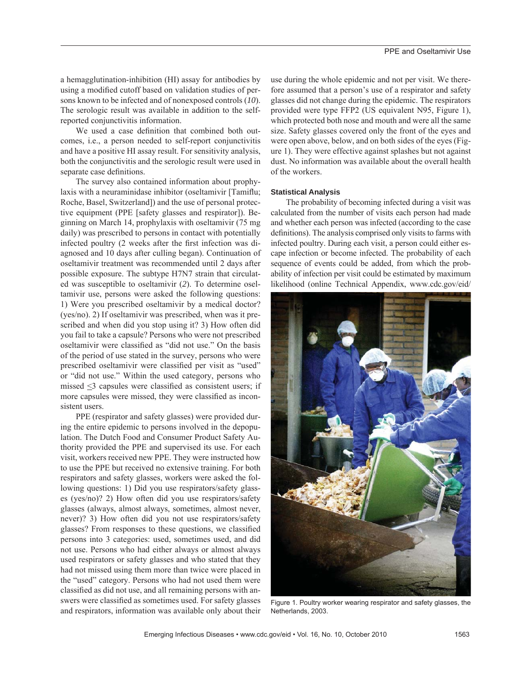a hemagglutination-inhibition (HI) assay for antibodies by using a modified cutoff based on validation studies of persons known to be infected and of nonexposed controls (*10*). The serologic result was available in addition to the selfreported conjunctivitis information.

We used a case definition that combined both outcomes, i.e., a person needed to self-report conjunctivitis and have a positive HI assay result. For sensitivity analysis, both the conjunctivitis and the serologic result were used in separate case definitions.

The survey also contained information about prophylaxis with a neuraminidase inhibitor (oseltamivir [Tamiflu; Roche, Basel, Switzerland]) and the use of personal protective equipment (PPE [safety glasses and respirator]). Beginning on March 14, prophylaxis with oseltamivir (75 mg daily) was prescribed to persons in contact with potentially infected poultry (2 weeks after the first infection was diagnosed and 10 days after culling began). Continuation of oseltamivir treatment was recommended until 2 days after possible exposure. The subtype H7N7 strain that circulated was susceptible to oseltamivir (*2*). To determine oseltamivir use, persons were asked the following questions: 1) Were you prescribed oseltamivir by a medical doctor? (yes/no). 2) If oseltamivir was prescribed, when was it prescribed and when did you stop using it? 3) How often did you fail to take a capsule? Persons who were not prescribed oseltamivir were classified as "did not use." On the basis of the period of use stated in the survey, persons who were prescribed oseltamivir were classified per visit as "used" or "did not use." Within the used category, persons who missed  $\leq$  capsules were classified as consistent users; if more capsules were missed, they were classified as inconsistent users.

PPE (respirator and safety glasses) were provided during the entire epidemic to persons involved in the depopulation. The Dutch Food and Consumer Product Safety Authority provided the PPE and supervised its use. For each visit, workers received new PPE. They were instructed how to use the PPE but received no extensive training. For both respirators and safety glasses, workers were asked the following questions: 1) Did you use respirators/safety glasses (yes/no)? 2) How often did you use respirators/safety glasses (always, almost always, sometimes, almost never, never)? 3) How often did you not use respirators/safety glasses? From responses to these questions, we classified persons into 3 categories: used, sometimes used, and did not use. Persons who had either always or almost always used respirators or safety glasses and who stated that they had not missed using them more than twice were placed in the "used" category. Persons who had not used them were classified as did not use, and all remaining persons with answers were classified as sometimes used. For safety glasses and respirators, information was available only about their use during the whole epidemic and not per visit. We therefore assumed that a person's use of a respirator and safety glasses did not change during the epidemic. The respirators provided were type FFP2 (US equivalent N95, Figure 1), which protected both nose and mouth and were all the same size. Safety glasses covered only the front of the eyes and were open above, below, and on both sides of the eyes (Figure 1). They were effective against splashes but not against dust. No information was available about the overall health of the workers.

## **Statistical Analysis**

The probability of becoming infected during a visit was calculated from the number of visits each person had made and whether each person was infected (according to the case definitions). The analysis comprised only visits to farms with infected poultry. During each visit, a person could either escape infection or become infected. The probability of each sequence of events could be added, from which the probability of infection per visit could be estimated by maximum likelihood (online Technical Appendix, www.cdc.gov/eid/



Figure 1. Poultry worker wearing respirator and safety glasses, the Netherlands, 2003.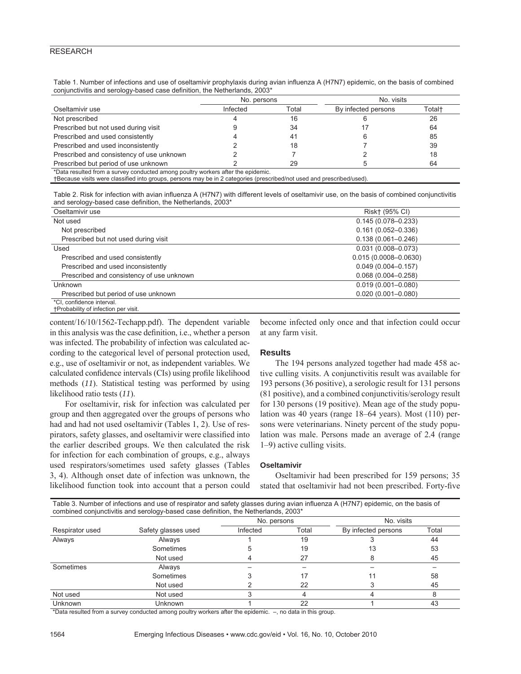## RESEARCH

Table 1. Number of infections and use of oseltamivir prophylaxis during avian influenza A (H7N7) epidemic, on the basis of combined conjunctivitis and serology-based case definition, the Netherlands, 2003\*

|                                           | No. persons |       | No. visits          |        |
|-------------------------------------------|-------------|-------|---------------------|--------|
| Oseltamivir use                           | Infected    | Total | By infected persons | Total† |
| Not prescribed                            |             | 16    |                     | 26     |
| Prescribed but not used during visit      |             | 34    |                     | 64     |
| Prescribed and used consistently          |             | 41    |                     | 85     |
| Prescribed and used inconsistently        |             | 18    |                     | 39     |
| Prescribed and consistency of use unknown |             |       |                     | 18     |
| Prescribed but period of use unknown      |             | 29    |                     | 64     |

\*Data resulted from a survey conducted among poultry workers after the epidemic.

†Because visits were classified into groups, persons may be in 2 categories (prescribed/not used and prescribed/used).

Table 2. Risk for infection with avian influenza A (H7N7) with different levels of oseltamivir use, on the basis of combined conjunctivitis and serology-based case definition, the Netherlands, 2003\*

| Oseltamivir use                                                   | Risk† (95% CI)           |
|-------------------------------------------------------------------|--------------------------|
| Not used                                                          | $0.145(0.078 - 0.233)$   |
| Not prescribed                                                    | $0.161(0.052 - 0.336)$   |
| Prescribed but not used during visit                              | $0.138(0.061 - 0.246)$   |
| Used                                                              | $0.031(0.008 - 0.073)$   |
| Prescribed and used consistently                                  | $0.015(0.0008 - 0.0630)$ |
| Prescribed and used inconsistently                                | $0.049(0.004 - 0.157)$   |
| Prescribed and consistency of use unknown                         | $0.068(0.004 - 0.258)$   |
| Unknown                                                           | $0.019(0.001 - 0.080)$   |
| Prescribed but period of use unknown                              | $0.020(0.001 - 0.080)$   |
| *CI, confidence interval.<br>+Probability of infection per visit. |                          |

content/16/10/1562-Techapp.pdf). The dependent variable in this analysis was the case definition, i.e., whether a person was infected. The probability of infection was calculated according to the categorical level of personal protection used, e.g., use of oseltamivir or not, as independent variables. We calculated confidence intervals (CIs) using profile likelihood methods (*11*). Statistical testing was performed by using likelihood ratio tests (*11*).

For oseltamivir, risk for infection was calculated per group and then aggregated over the groups of persons who had and had not used oseltamivir (Tables 1, 2). Use of respirators, safety glasses, and oseltamivir were classified into the earlier described groups. We then calculated the risk for infection for each combination of groups, e.g., always used respirators/sometimes used safety glasses (Tables 3, 4). Although onset date of infection was unknown, the likelihood function took into account that a person could become infected only once and that infection could occur at any farm visit.

#### **Results**

The 194 persons analyzed together had made 458 active culling visits. A conjunctivitis result was available for 193 persons (36 positive), a serologic result for 131 persons (81 positive), and a combined conjunctivitis/serology result for 130 persons (19 positive). Mean age of the study population was 40 years (range 18–64 years). Most (110) persons were veterinarians. Ninety percent of the study population was male. Persons made an average of 2.4 (range 1–9) active culling visits.

### **Oseltamivir**

Oseltamivir had been prescribed for 159 persons; 35 stated that oseltamivir had not been prescribed. Forty-five

| Table 3. Number of infections and use of respirator and safety glasses during avian influenza A (H7N7) epidemic, on the basis of<br>combined conjunctivitis and serology-based case definition, the Netherlands, 2003* |                     |             |       |                     |       |
|------------------------------------------------------------------------------------------------------------------------------------------------------------------------------------------------------------------------|---------------------|-------------|-------|---------------------|-------|
|                                                                                                                                                                                                                        |                     | No. persons |       | No. visits          |       |
| Respirator used                                                                                                                                                                                                        | Safety glasses used | Infected    | Total | By infected persons | Total |
| Always                                                                                                                                                                                                                 | Always              |             | 19    |                     | 44    |
|                                                                                                                                                                                                                        | Sometimes           |             | 19    | 1.3                 | 53    |
|                                                                                                                                                                                                                        | Not used            |             | 27    |                     | 45    |
| Sometimes                                                                                                                                                                                                              | Always              |             |       |                     |       |
|                                                                                                                                                                                                                        | Sometimes           |             | 17    |                     | 58    |
|                                                                                                                                                                                                                        | Not used            |             | 22    |                     | 45    |
| Not used                                                                                                                                                                                                               | Not used            |             |       |                     |       |
| Unknown                                                                                                                                                                                                                | <b>Unknown</b>      |             | 22    |                     | 43    |

\*Data resulted from a survey conducted among poultry workers after the epidemic. –, no data in this group.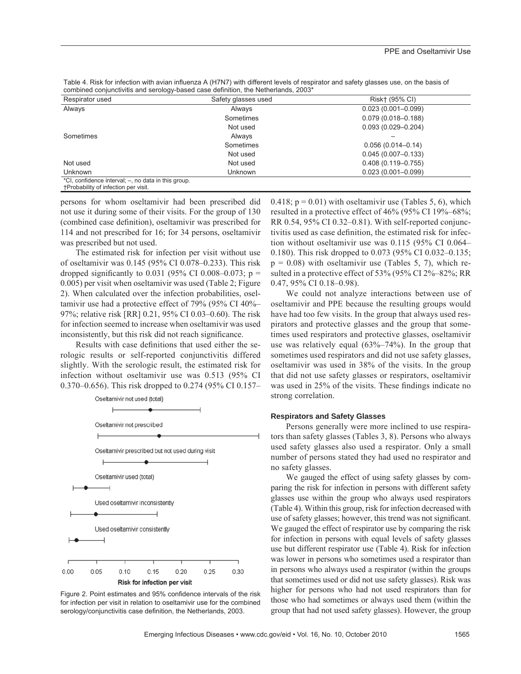| Respirator used                                                                                    | Safety glasses used | Risk† (95% CI)         |
|----------------------------------------------------------------------------------------------------|---------------------|------------------------|
| Always                                                                                             | Always              | $0.023(0.001 - 0.099)$ |
|                                                                                                    | Sometimes           | $0.079(0.018 - 0.188)$ |
|                                                                                                    | Not used            | $0.093(0.029 - 0.204)$ |
| Sometimes                                                                                          | Always              |                        |
|                                                                                                    | Sometimes           | $0.056(0.014 - 0.14)$  |
|                                                                                                    | Not used            | $0.045(0.007 - 0.133)$ |
| Not used                                                                                           | Not used            | $0.408(0.119 - 0.755)$ |
| Unknown                                                                                            | <b>Unknown</b>      | $0.023(0.001 - 0.099)$ |
| *CI, confidence interval; -, no data in this group.<br><b>+Probability of infection per visit.</b> |                     |                        |

Table 4. Risk for infection with avian influenza A (H7N7) with different levels of respirator and safety glasses use, on the basis of combined conjunctivitis and serology-based case definition, the Netherlands, 2003\*

persons for whom oseltamivir had been prescribed did not use it during some of their visits. For the group of 130 (combined case definition), oseltamivir was prescribed for 114 and not prescribed for 16; for 34 persons, oseltamivir was prescribed but not used.

The estimated risk for infection per visit without use of oseltamivir was 0.145 (95% CI 0.078–0.233). This risk dropped significantly to 0.031 (95% CI 0.008–0.073;  $p =$ 0.005) per visit when oseltamivir was used (Table 2; Figure 2). When calculated over the infection probabilities, oseltamivir use had a protective effect of 79% (95% CI 40%– 97%; relative risk [RR] 0.21, 95% CI 0.03–0.60). The risk for infection seemed to increase when oseltamivir was used inconsistently, but this risk did not reach significance.

Results with case definitions that used either the serologic results or self-reported conjunctivitis differed slightly. With the serologic result, the estimated risk for infection without oseltamivir use was 0.513 (95% CI 0.370–0.656). This risk dropped to 0.274 (95% CI 0.157–



Figure 2. Point estimates and 95% confidence intervals of the risk for infection per visit in relation to oseltamivir use for the combined serology/conjunctivitis case definition, the Netherlands, 2003.

0.418;  $p = 0.01$ ) with oseltamivir use (Tables 5, 6), which resulted in a protective effect of 46% (95% CI 19%–68%; RR 0.54, 95% CI 0.32–0.81). With self-reported conjunctivitis used as case definition, the estimated risk for infection without oseltamivir use was 0.115 (95% CI 0.064– 0.180). This risk dropped to 0.073 (95% CI 0.032–0.135;  $p = 0.08$ ) with oseltamivir use (Tables 5, 7), which resulted in a protective effect of 53% (95% CI 2%–82%; RR 0.47, 95% CI 0.18–0.98).

We could not analyze interactions between use of oseltamivir and PPE because the resulting groups would have had too few visits. In the group that always used respirators and protective glasses and the group that sometimes used respirators and protective glasses, oseltamivir use was relatively equal (63%–74%). In the group that sometimes used respirators and did not use safety glasses, oseltamivir was used in 38% of the visits. In the group that did not use safety glasses or respirators, oseltamivir was used in 25% of the visits. These findings indicate no strong correlation.

#### **Respirators and Safety Glasses**

Persons generally were more inclined to use respirators than safety glasses (Tables 3, 8). Persons who always used safety glasses also used a respirator. Only a small number of persons stated they had used no respirator and no safety glasses.

We gauged the effect of using safety glasses by comparing the risk for infection in persons with different safety glasses use within the group who always used respirators (Table 4). Within this group, risk for infection decreased with use of safety glasses; however, this trend was not significant. We gauged the effect of respirator use by comparing the risk for infection in persons with equal levels of safety glasses use but different respirator use (Table 4). Risk for infection was lower in persons who sometimes used a respirator than in persons who always used a respirator (within the groups that sometimes used or did not use safety glasses). Risk was higher for persons who had not used respirators than for those who had sometimes or always used them (within the group that had not used safety glasses). However, the group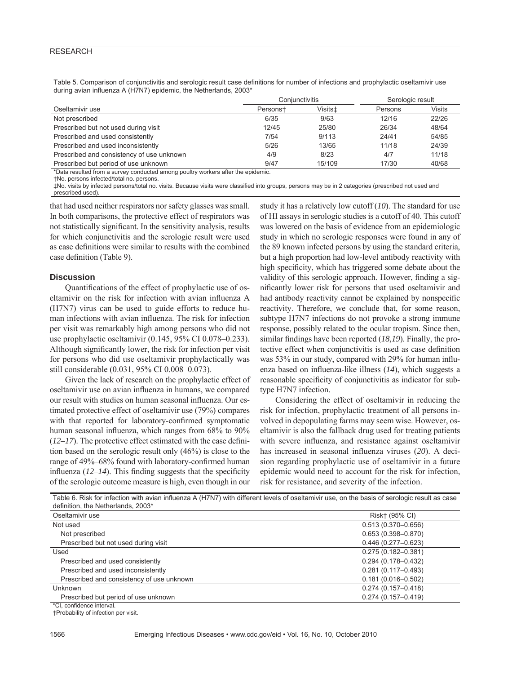## RESEARCH

| Table 5. Comparison of conjunctivitis and serologic result case definitions for number of infections and prophylactic oseltamivir use |  |  |
|---------------------------------------------------------------------------------------------------------------------------------------|--|--|
| during avian influenza A (H7N7) epidemic, the Netherlands, 2003*                                                                      |  |  |

|                                           | Conjunctivitis |         | Serologic result |               |
|-------------------------------------------|----------------|---------|------------------|---------------|
| Oseltamivir use                           | Personst       | Visits± | Persons          | <b>Visits</b> |
| Not prescribed                            | 6/35           | 9/63    | 12/16            | 22/26         |
| Prescribed but not used during visit      | 12/45          | 25/80   | 26/34            | 48/64         |
| Prescribed and used consistently          | 7/54           | 9/113   | 24/41            | 54/85         |
| Prescribed and used inconsistently        | 5/26           | 13/65   | 11/18            | 24/39         |
| Prescribed and consistency of use unknown | 4/9            | 8/23    | 4/7              | 11/18         |
| Prescribed but period of use unknown      | 9/47           | 15/109  | 17/30            | 40/68         |

\*Data resulted from a survey conducted among poultry workers after the epidemic.

†No. persons infected/total no. persons.

‡No. visits by infected persons/total no. visits. Because visits were classified into groups, persons may be in 2 categories (prescribed not used and prescribed used).

that had used neither respirators nor safety glasses was small. In both comparisons, the protective effect of respirators was not statistically significant. In the sensitivity analysis, results for which conjunctivitis and the serologic result were used as case definitions were similar to results with the combined case definition (Table 9).

## **Discussion**

Quantifications of the effect of prophylactic use of oseltamivir on the risk for infection with avian influenza A (H7N7) virus can be used to guide efforts to reduce human infections with avian influenza. The risk for infection per visit was remarkably high among persons who did not use prophylactic oseltamivir (0.145, 95% CI 0.078–0.233). Although significantly lower, the risk for infection per visit for persons who did use oseltamivir prophylactically was still considerable (0.031, 95% CI 0.008–0.073).

Given the lack of research on the prophylactic effect of oseltamivir use on avian influenza in humans, we compared our result with studies on human seasonal influenza. Our estimated protective effect of oseltamivir use (79%) compares with that reported for laboratory-confirmed symptomatic human seasonal influenza, which ranges from 68% to 90%  $(12–17)$ . The protective effect estimated with the case definition based on the serologic result only (46%) is close to the range of 49%–68% found with laboratory-confirmed human influenza  $(12-14)$ . This finding suggests that the specificity of the serologic outcome measure is high, even though in our

study it has a relatively low cutoff (*10*). The standard for use of HI assays in serologic studies is a cutoff of 40. This cutoff was lowered on the basis of evidence from an epidemiologic study in which no serologic responses were found in any of the 89 known infected persons by using the standard criteria, but a high proportion had low-level antibody reactivity with high specificity, which has triggered some debate about the validity of this serologic approach. However, finding a significantly lower risk for persons that used oseltamivir and had antibody reactivity cannot be explained by nonspecific reactivity. Therefore, we conclude that, for some reason, subtype H7N7 infections do not provoke a strong immune response, possibly related to the ocular tropism. Since then, similar findings have been reported (18,19). Finally, the protective effect when conjunctivitis is used as case definition was  $53\%$  in our study, compared with  $29\%$  for human influenza based on influenza-like illness (14), which suggests a reasonable specificity of conjunctivitis as indicator for subtype H7N7 infection.

Considering the effect of oseltamivir in reducing the risk for infection, prophylactic treatment of all persons involved in depopulating farms may seem wise. However, oseltamivir is also the fallback drug used for treating patients with severe influenza, and resistance against oseltamivir has increased in seasonal influenza viruses (20). A decision regarding prophylactic use of oseltamivir in a future epidemic would need to account for the risk for infection, risk for resistance, and severity of the infection.

| Table 6. Risk for infection with avian influenza A (H7N7) with different levels of oseltamivir use, on the basis of serologic result as case<br>definition, the Netherlands, 2003* |                        |
|------------------------------------------------------------------------------------------------------------------------------------------------------------------------------------|------------------------|
| Oseltamivir use                                                                                                                                                                    | Risk† (95% CI)         |
| Not used                                                                                                                                                                           | $0.513(0.370 - 0.656)$ |
| Not prescribed                                                                                                                                                                     | $0.653(0.398 - 0.870)$ |
| Prescribed but not used during visit                                                                                                                                               | $0.446(0.277 - 0.623)$ |
| Used                                                                                                                                                                               | $0.275(0.182 - 0.381)$ |
| Prescribed and used consistently                                                                                                                                                   | $0.294(0.178 - 0.432)$ |
| Prescribed and used inconsistently                                                                                                                                                 | $0.281(0.117 - 0.493)$ |
| Prescribed and consistency of use unknown                                                                                                                                          | $0.181(0.016 - 0.502)$ |
| <b>Unknown</b>                                                                                                                                                                     | $0.274(0.157 - 0.418)$ |
| Prescribed but period of use unknown                                                                                                                                               | $0.274(0.157 - 0.419)$ |
| *CI. confidence interval.                                                                                                                                                          |                        |

†Probability of infection per visit.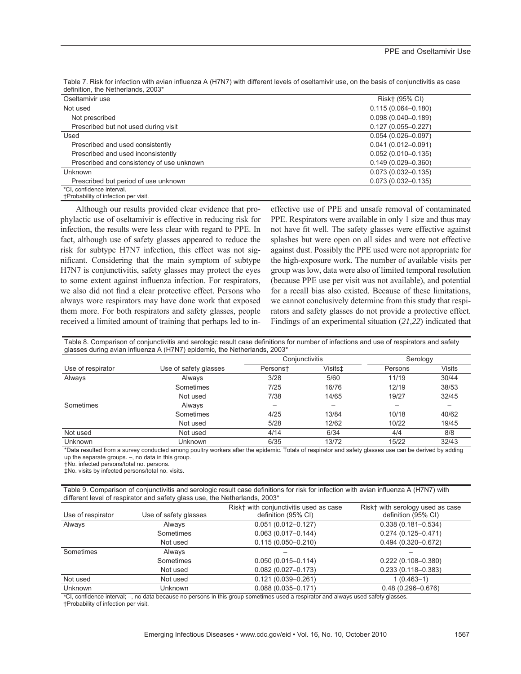| Oseltamivir use                                                          | Risk† (95% CI)         |
|--------------------------------------------------------------------------|------------------------|
| Not used                                                                 | $0.115(0.064 - 0.180)$ |
| Not prescribed                                                           | $0.098(0.040 - 0.189)$ |
| Prescribed but not used during visit                                     | $0.127(0.055 - 0.227)$ |
| Used                                                                     | $0.054(0.026 - 0.097)$ |
| Prescribed and used consistently                                         | $0.041(0.012 - 0.091)$ |
| Prescribed and used inconsistently                                       | $0.052(0.010 - 0.135)$ |
| Prescribed and consistency of use unknown                                | $0.149(0.029 - 0.360)$ |
| Unknown                                                                  | $0.073(0.032 - 0.135)$ |
| Prescribed but period of use unknown                                     | $0.073(0.032 - 0.135)$ |
| *CI, confidence interval.<br><b>+Probability of infection per visit.</b> |                        |

Table 7. Risk for infection with avian influenza A (H7N7) with different levels of oseltamivir use, on the basis of conjunctivitis as case definition, the Netherlands, 2003\*

Although our results provided clear evidence that prophylactic use of oseltamivir is effective in reducing risk for infection, the results were less clear with regard to PPE. In fact, although use of safety glasses appeared to reduce the risk for subtype H7N7 infection, this effect was not significant. Considering that the main symptom of subtype H7N7 is conjunctivitis, safety glasses may protect the eyes to some extent against influenza infection. For respirators, we also did not find a clear protective effect. Persons who always wore respirators may have done work that exposed them more. For both respirators and safety glasses, people received a limited amount of training that perhaps led to in-

effective use of PPE and unsafe removal of contaminated PPE. Respirators were available in only 1 size and thus may not have fit well. The safety glasses were effective against splashes but were open on all sides and were not effective against dust. Possibly the PPE used were not appropriate for the high-exposure work. The number of available visits per group was low, data were also of limited temporal resolution (because PPE use per visit was not available), and potential for a recall bias also existed. Because of these limitations, we cannot conclusively determine from this study that respirators and safety glasses do not provide a protective effect. Findings of an experimental situation (*21,22*) indicated that

|                   | Table 8. Comparison of conjunctivitis and serologic result case definitions for number of infections and use of respirators and safety<br>glasses during avian influenza A (H7N7) epidemic, the Netherlands, 2003* |                |                     |          |               |
|-------------------|--------------------------------------------------------------------------------------------------------------------------------------------------------------------------------------------------------------------|----------------|---------------------|----------|---------------|
|                   |                                                                                                                                                                                                                    | Conjunctivitis |                     | Serology |               |
| Use of respirator | Use of safety glasses                                                                                                                                                                                              | Personst       | Visits <sup>+</sup> | Persons  | <b>Visits</b> |
| Always            | Always                                                                                                                                                                                                             | 3/28           | 5/60                | 11/19    | 30/44         |
|                   | Sometimes                                                                                                                                                                                                          | 7/25           | 16/76               | 12/19    | 38/53         |
|                   | Not used                                                                                                                                                                                                           | 7/38           | 14/65               | 19/27    | 32/45         |
| Sometimes         | Always                                                                                                                                                                                                             |                |                     |          |               |
|                   | Sometimes                                                                                                                                                                                                          | 4/25           | 13/84               | 10/18    | 40/62         |
|                   | Not used                                                                                                                                                                                                           | 5/28           | 12/62               | 10/22    | 19/45         |
| Not used          | Not used                                                                                                                                                                                                           | 4/14           | 6/34                | 4/4      | 8/8           |
| <b>Unknown</b>    | <b>Unknown</b>                                                                                                                                                                                                     | 6/35           | 13/72               | 15/22    | 32/43         |

\*Data resulted from a survey conducted among poultry workers after the epidemic. Totals of respirator and safety glasses use can be derived by adding up the separate groups. –, no data in this group.

†No. infected persons/total no. persons.

‡No. visits by infected persons/total no. visits.

Table 9. Comparison of conjunctivitis and serologic result case definitions for risk for infection with avian influenza A (H7N7) with different level of respirator and safety glass use, the Netherlands, 2003\*

| Use of respirator | Use of safety glasses | Risk† with conjunctivitis used as case<br>definition (95% CI) | Risk† with serology used as case<br>definition (95% CI) |
|-------------------|-----------------------|---------------------------------------------------------------|---------------------------------------------------------|
| Always            | Always                | $0.051(0.012 - 0.127)$                                        | $0.338(0.181 - 0.534)$                                  |
|                   | Sometimes             | $0.063(0.017 - 0.144)$                                        | $0.274(0.125 - 0.471)$                                  |
|                   | Not used              | $0.115(0.050 - 0.210)$                                        | $0.494(0.320 - 0.672)$                                  |
| Sometimes         | Always                |                                                               |                                                         |
|                   | Sometimes             | $0.050(0.015 - 0.114)$                                        | $0.222(0.108 - 0.380)$                                  |
|                   | Not used              | $0.082(0.027 - 0.173)$                                        | $0.233(0.118 - 0.383)$                                  |
| Not used          | Not used              | $0.121(0.039 - 0.261)$                                        | $1(0.463 - 1)$                                          |
| <b>Unknown</b>    | Unknown               | $0.088(0.035 - 0.171)$                                        | $0.48(0.296 - 0.676)$                                   |

*\**CI, confidence interval; –, no data because no persons in this group sometimes used a respirator and always used safety glasses. †Probability of infection per visit.